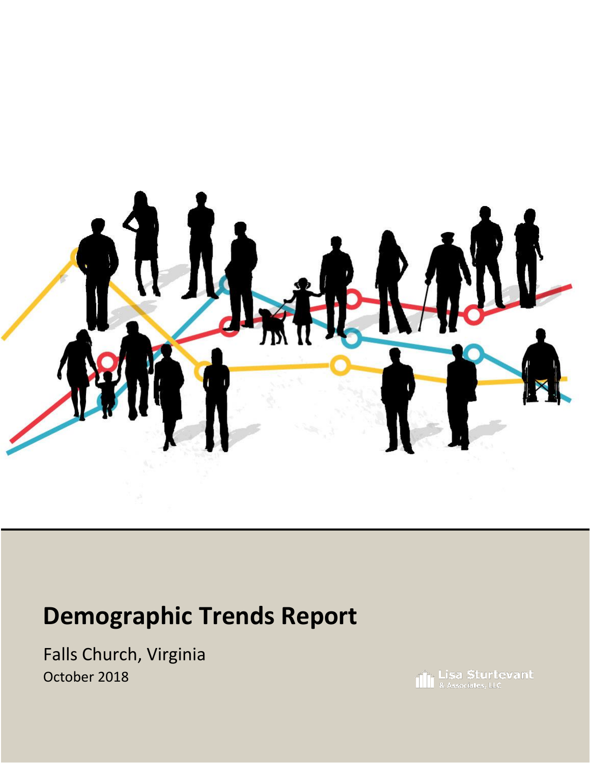

# **Demographic Trends Report**

Falls Church, Virginia October 2018

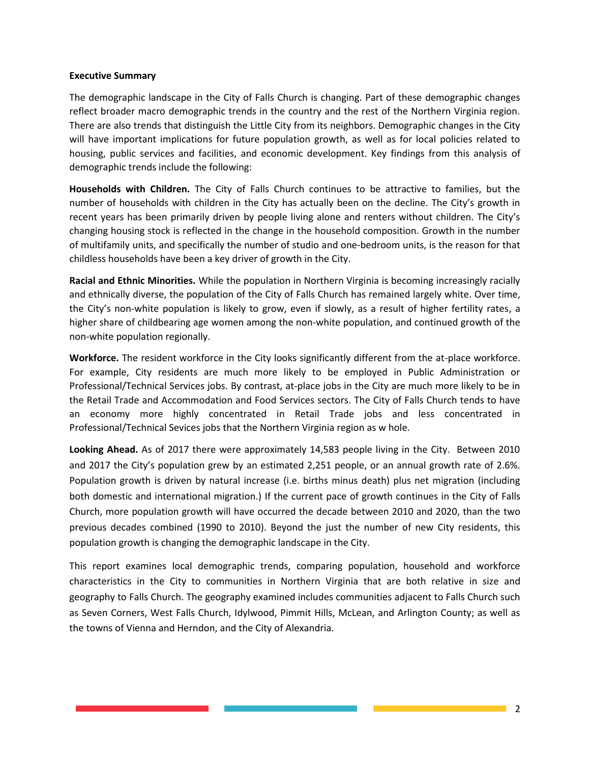#### **Executive Summary**

The demographic landscape in the City of Falls Church is changing. Part of these demographic changes reflect broader macro demographic trends in the country and the rest of the Northern Virginia region. There are also trends that distinguish the Little City from its neighbors. Demographic changes in the City will have important implications for future population growth, as well as for local policies related to housing, public services and facilities, and economic development. Key findings from this analysis of demographic trends include the following:

**Households with Children.** The City of Falls Church continues to be attractive to families, but the number of households with children in the City has actually been on the decline. The City's growth in recent years has been primarily driven by people living alone and renters without children. The City's changing housing stock is reflected in the change in the household composition. Growth in the number of multifamily units, and specifically the number of studio and one-bedroom units, is the reason for that childless households have been a key driver of growth in the City.

**Racial and Ethnic Minorities.** While the population in Northern Virginia is becoming increasingly racially and ethnically diverse, the population of the City of Falls Church has remained largely white. Over time, the City's non-white population is likely to grow, even if slowly, as a result of higher fertility rates, a higher share of childbearing age women among the non-white population, and continued growth of the non-white population regionally.

**Workforce.** The resident workforce in the City looks significantly different from the at-place workforce. For example, City residents are much more likely to be employed in Public Administration or Professional/Technical Services jobs. By contrast, at-place jobs in the City are much more likely to be in the Retail Trade and Accommodation and Food Services sectors. The City of Falls Church tends to have an economy more highly concentrated in Retail Trade jobs and less concentrated in Professional/Technical Sevices jobs that the Northern Virginia region as w hole.

**Looking Ahead.** As of 2017 there were approximately 14,583 people living in the City. Between 2010 and 2017 the City's population grew by an estimated 2,251 people, or an annual growth rate of 2.6%. Population growth is driven by natural increase (i.e. births minus death) plus net migration (including both domestic and international migration.) If the current pace of growth continues in the City of Falls Church, more population growth will have occurred the decade between 2010 and 2020, than the two previous decades combined (1990 to 2010). Beyond the just the number of new City residents, this population growth is changing the demographic landscape in the City.

This report examines local demographic trends, comparing population, household and workforce characteristics in the City to communities in Northern Virginia that are both relative in size and geography to Falls Church. The geography examined includes communities adjacent to Falls Church such as Seven Corners, West Falls Church, Idylwood, Pimmit Hills, McLean, and Arlington County; as well as the towns of Vienna and Herndon, and the City of Alexandria.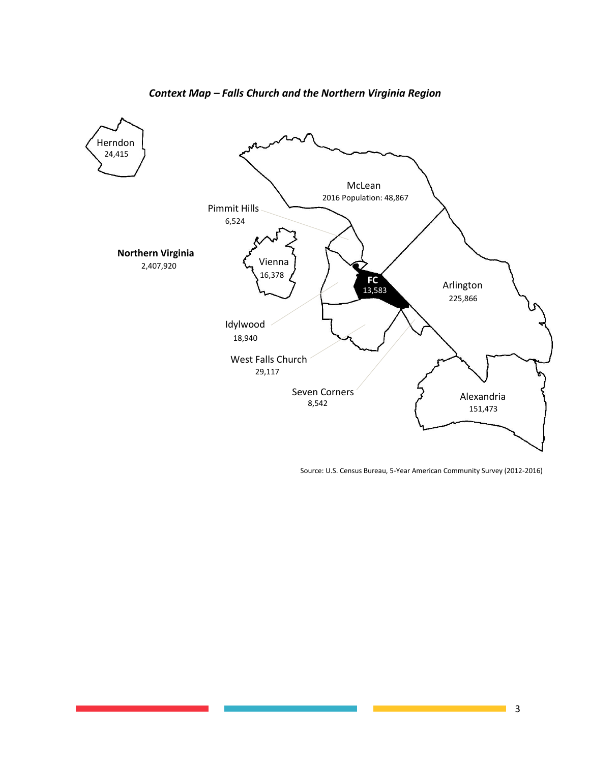

#### *Context Map – Falls Church and the Northern Virginia Region*

Source: U.S. Census Bureau, 5-Year American Community Survey (2012-2016)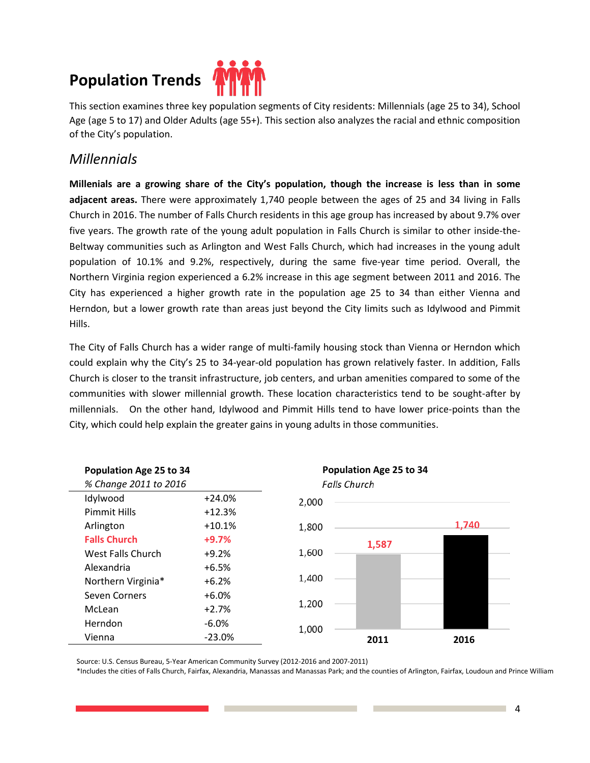# **Population Trends**



This section examines three key population segments of City residents: Millennials (age 25 to 34), School Age (age 5 to 17) and Older Adults (age 55+). This section also analyzes the racial and ethnic composition of the City's population.

### *Millennials*

**Millenials are a growing share of the City's population, though the increase is less than in some adjacent areas.** There were approximately 1,740 people between the ages of 25 and 34 living in Falls Church in 2016. The number of Falls Church residents in this age group has increased by about 9.7% over five years. The growth rate of the young adult population in Falls Church is similar to other inside-the-Beltway communities such as Arlington and West Falls Church, which had increases in the young adult population of 10.1% and 9.2%, respectively, during the same five-year time period. Overall, the Northern Virginia region experienced a 6.2% increase in this age segment between 2011 and 2016. The City has experienced a higher growth rate in the population age 25 to 34 than either Vienna and Herndon, but a lower growth rate than areas just beyond the City limits such as Idylwood and Pimmit Hills.

The City of Falls Church has a wider range of multi-family housing stock than Vienna or Herndon which could explain why the City's 25 to 34-year-old population has grown relatively faster. In addition, Falls Church is closer to the transit infrastructure, job centers, and urban amenities compared to some of the communities with slower millennial growth. These location characteristics tend to be sought-after by millennials. On the other hand, Idylwood and Pimmit Hills tend to have lower price-points than the City, which could help explain the greater gains in young adults in those communities.



Source: U.S. Census Bureau, 5-Year American Community Survey (2012-2016 and 2007-2011)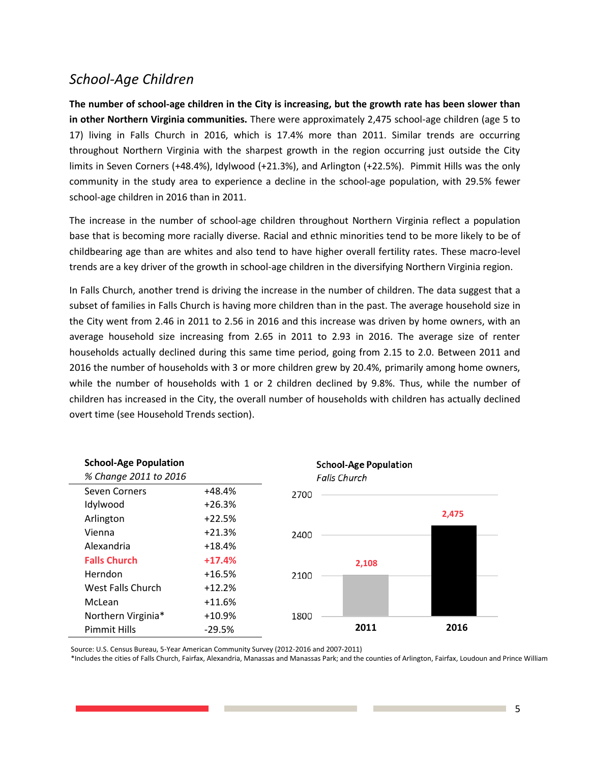### *School-Age Children*

**The number of school-age children in the City is increasing, but the growth rate has been slower than in other Northern Virginia communities.** There were approximately 2,475 school-age children (age 5 to 17) living in Falls Church in 2016, which is 17.4% more than 2011. Similar trends are occurring throughout Northern Virginia with the sharpest growth in the region occurring just outside the City limits in Seven Corners (+48.4%), Idylwood (+21.3%), and Arlington (+22.5%). Pimmit Hills was the only community in the study area to experience a decline in the school-age population, with 29.5% fewer school-age children in 2016 than in 2011.

The increase in the number of school-age children throughout Northern Virginia reflect a population base that is becoming more racially diverse. Racial and ethnic minorities tend to be more likely to be of childbearing age than are whites and also tend to have higher overall fertility rates. These macro-level trends are a key driver of the growth in school-age children in the diversifying Northern Virginia region.

In Falls Church, another trend is driving the increase in the number of children. The data suggest that a subset of families in Falls Church is having more children than in the past. The average household size in the City went from 2.46 in 2011 to 2.56 in 2016 and this increase was driven by home owners, with an average household size increasing from 2.65 in 2011 to 2.93 in 2016. The average size of renter households actually declined during this same time period, going from 2.15 to 2.0. Between 2011 and 2016 the number of households with 3 or more children grew by 20.4%, primarily among home owners, while the number of households with 1 or 2 children declined by 9.8%. Thus, while the number of children has increased in the City, the overall number of households with children has actually declined overt time (see Household Trends section).

| <b>School-Age Population</b><br>% Change 2011 to 2016 |          | <b>School-Age Population</b><br><b>Falls Church</b> |       |
|-------------------------------------------------------|----------|-----------------------------------------------------|-------|
| Seven Corners                                         | $+48.4%$ | 2700                                                |       |
| Idylwood                                              | $+26.3%$ |                                                     |       |
| Arlington                                             | $+22.5%$ |                                                     | 2,475 |
| Vienna                                                | $+21.3%$ | 2400                                                |       |
| Alexandria                                            | $+18.4%$ |                                                     |       |
| <b>Falls Church</b>                                   | $+17.4%$ | 2,108                                               |       |
| Herndon                                               | $+16.5%$ | 2100                                                |       |
| West Falls Church                                     | $+12.2%$ |                                                     |       |
| McLean                                                | $+11.6%$ |                                                     |       |
| Northern Virginia*                                    | $+10.9%$ | 1800                                                |       |
| <b>Pimmit Hills</b>                                   | $-29.5%$ | 2011                                                | 2016  |

Source: U.S. Census Bureau, 5-Year American Community Survey (2012-2016 and 2007-2011)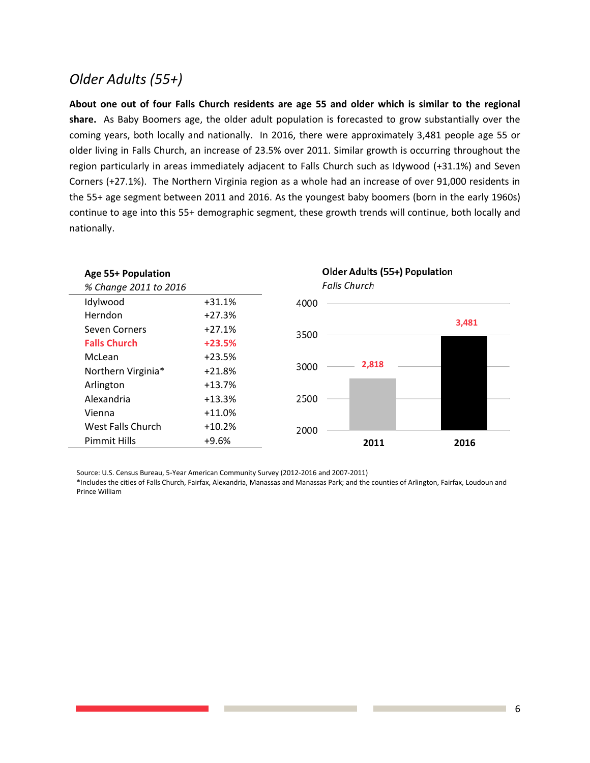## *Older Adults (55+)*

**About one out of four Falls Church residents are age 55 and older which is similar to the regional share.** As Baby Boomers age, the older adult population is forecasted to grow substantially over the coming years, both locally and nationally. In 2016, there were approximately 3,481 people age 55 or older living in Falls Church, an increase of 23.5% over 2011. Similar growth is occurring throughout the region particularly in areas immediately adjacent to Falls Church such as Idywood (+31.1%) and Seven Corners (+27.1%). The Northern Virginia region as a whole had an increase of over 91,000 residents in the 55+ age segment between 2011 and 2016. As the youngest baby boomers (born in the early 1960s) continue to age into this 55+ demographic segment, these growth trends will continue, both locally and nationally.



Source: U.S. Census Bureau, 5-Year American Community Survey (2012-2016 and 2007-2011)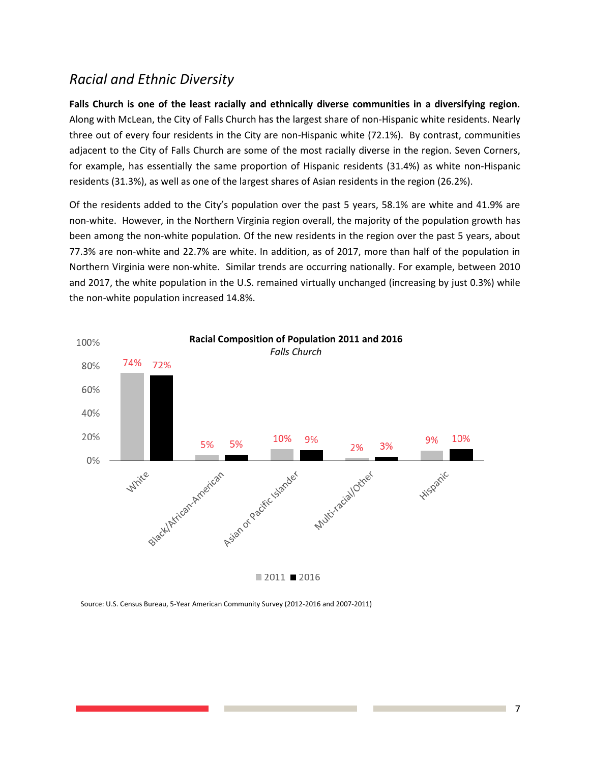### *Racial and Ethnic Diversity*

**Falls Church is one of the least racially and ethnically diverse communities in a diversifying region.**  Along with McLean, the City of Falls Church has the largest share of non-Hispanic white residents. Nearly three out of every four residents in the City are non-Hispanic white (72.1%). By contrast, communities adjacent to the City of Falls Church are some of the most racially diverse in the region. Seven Corners, for example, has essentially the same proportion of Hispanic residents (31.4%) as white non-Hispanic residents (31.3%), as well as one of the largest shares of Asian residents in the region (26.2%).

Of the residents added to the City's population over the past 5 years, 58.1% are white and 41.9% are non-white. However, in the Northern Virginia region overall, the majority of the population growth has been among the non-white population. Of the new residents in the region over the past 5 years, about 77.3% are non-white and 22.7% are white. In addition, as of 2017, more than half of the population in Northern Virginia were non-white. Similar trends are occurring nationally. For example, between 2010 and 2017, the white population in the U.S. remained virtually unchanged (increasing by just 0.3%) while the non-white population increased 14.8%.



Source: U.S. Census Bureau, 5-Year American Community Survey (2012-2016 and 2007-2011)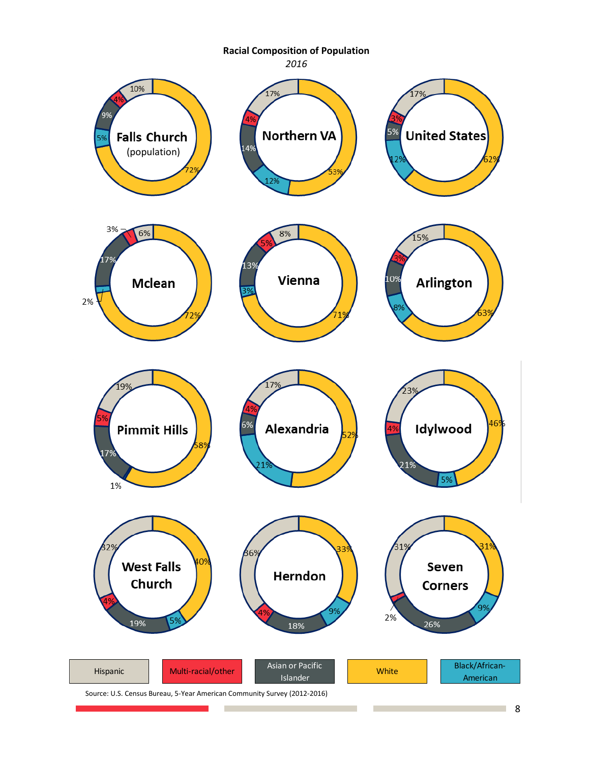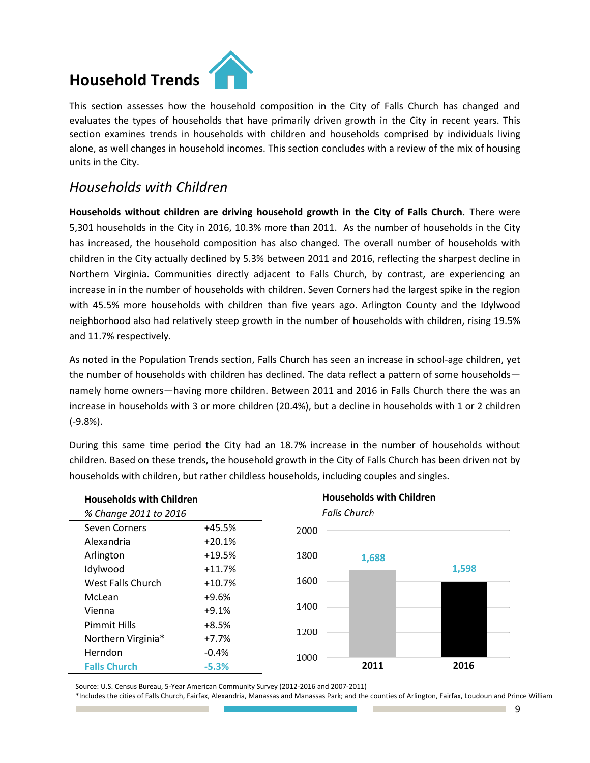# **Household Trends**



This section assesses how the household composition in the City of Falls Church has changed and evaluates the types of households that have primarily driven growth in the City in recent years. This section examines trends in households with children and households comprised by individuals living alone, as well changes in household incomes. This section concludes with a review of the mix of housing units in the City.

### *Households with Children*

**Households without children are driving household growth in the City of Falls Church.** There were 5,301 households in the City in 2016, 10.3% more than 2011. As the number of households in the City has increased, the household composition has also changed. The overall number of households with children in the City actually declined by 5.3% between 2011 and 2016, reflecting the sharpest decline in Northern Virginia. Communities directly adjacent to Falls Church, by contrast, are experiencing an increase in in the number of households with children. Seven Corners had the largest spike in the region with 45.5% more households with children than five years ago. Arlington County and the Idylwood neighborhood also had relatively steep growth in the number of households with children, rising 19.5% and 11.7% respectively.

As noted in the Population Trends section, Falls Church has seen an increase in school-age children, yet the number of households with children has declined. The data reflect a pattern of some households namely home owners—having more children. Between 2011 and 2016 in Falls Church there the was an increase in households with 3 or more children (20.4%), but a decline in households with 1 or 2 children (-9.8%).

During this same time period the City had an 18.7% increase in the number of households without children. Based on these trends, the household growth in the City of Falls Church has been driven not by households with children, but rather childless households, including couples and singles.



Source: U.S. Census Bureau, 5-Year American Community Survey (2012-2016 and 2007-2011)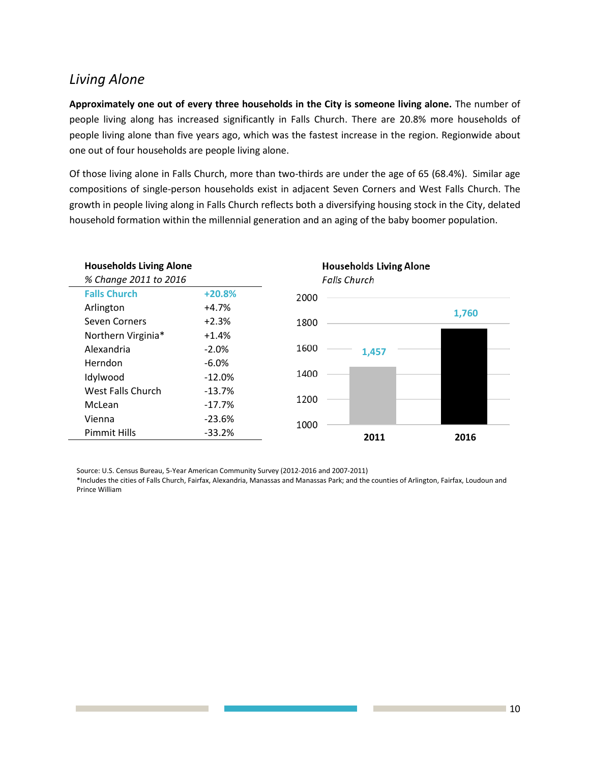### *Living Alone*

**Approximately one out of every three households in the City is someone living alone.** The number of people living along has increased significantly in Falls Church. There are 20.8% more households of people living alone than five years ago, which was the fastest increase in the region. Regionwide about one out of four households are people living alone.

Of those living alone in Falls Church, more than two-thirds are under the age of 65 (68.4%). Similar age compositions of single-person households exist in adjacent Seven Corners and West Falls Church. The growth in people living along in Falls Church reflects both a diversifying housing stock in the City, delated household formation within the millennial generation and an aging of the baby boomer population.

| <b>Households Living Alone</b> |           |      |                     | <b>Households Living Alone</b> |       |
|--------------------------------|-----------|------|---------------------|--------------------------------|-------|
| % Change 2011 to 2016          |           |      | <b>Falls Church</b> |                                |       |
| <b>Falls Church</b>            | $+20.8%$  | 2000 |                     |                                |       |
| Arlington                      | $+4.7%$   |      |                     |                                | 1,760 |
| Seven Corners                  | $+2.3%$   | 1800 |                     |                                |       |
| Northern Virginia*             | $+1.4%$   |      |                     |                                |       |
| Alexandria                     | $-2.0%$   | 1600 |                     | 1,457                          |       |
| Herndon                        | $-6.0%$   |      |                     |                                |       |
| Idylwood                       | $-12.0%$  | 1400 |                     |                                |       |
| <b>West Falls Church</b>       | $-13.7%$  |      |                     |                                |       |
| McLean                         | $-17.7\%$ | 1200 |                     |                                |       |
| Vienna                         | $-23.6%$  | 1000 |                     |                                |       |
| <b>Pimmit Hills</b>            | $-33.2%$  |      |                     | 2011                           | 2016  |
|                                |           |      |                     |                                |       |

Source: U.S. Census Bureau, 5-Year American Community Survey (2012-2016 and 2007-2011)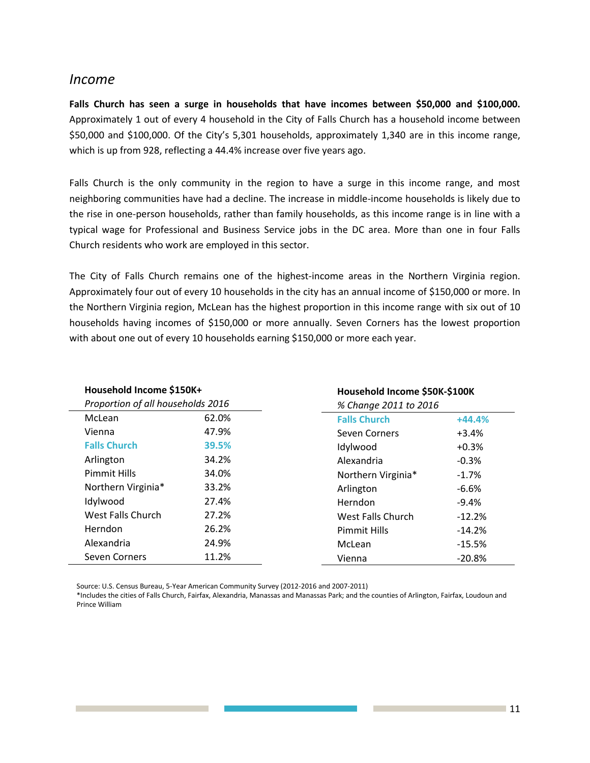#### *Income*

**Falls Church has seen a surge in households that have incomes between \$50,000 and \$100,000.**  Approximately 1 out of every 4 household in the City of Falls Church has a household income between \$50,000 and \$100,000. Of the City's 5,301 households, approximately 1,340 are in this income range, which is up from 928, reflecting a 44.4% increase over five years ago.

Falls Church is the only community in the region to have a surge in this income range, and most neighboring communities have had a decline. The increase in middle-income households is likely due to the rise in one-person households, rather than family households, as this income range is in line with a typical wage for Professional and Business Service jobs in the DC area. More than one in four Falls Church residents who work are employed in this sector.

The City of Falls Church remains one of the highest-income areas in the Northern Virginia region. Approximately four out of every 10 households in the city has an annual income of \$150,000 or more. In the Northern Virginia region, McLean has the highest proportion in this income range with six out of 10 households having incomes of \$150,000 or more annually. Seven Corners has the lowest proportion with about one out of every 10 households earning \$150,000 or more each year.

| Household Income \$150K+<br>Proportion of all households 2016 |       | Household Income \$50K-\$100K<br>% Change 2011 to 2016 |          |  |
|---------------------------------------------------------------|-------|--------------------------------------------------------|----------|--|
|                                                               |       |                                                        |          |  |
| Vienna                                                        | 47.9% | Seven Corners                                          | $+3.4%$  |  |
| <b>Falls Church</b>                                           | 39.5% | Idylwood                                               | $+0.3%$  |  |
| Arlington                                                     | 34.2% | Alexandria                                             | $-0.3%$  |  |
| <b>Pimmit Hills</b>                                           | 34.0% | Northern Virginia*                                     | $-1.7%$  |  |
| Northern Virginia*                                            | 33.2% | Arlington                                              | $-6.6%$  |  |
| Idylwood                                                      | 27.4% | Herndon                                                | $-9.4%$  |  |
| West Falls Church                                             | 27.2% | West Falls Church                                      | $-12.2%$ |  |
| <b>Herndon</b>                                                | 26.2% | <b>Pimmit Hills</b>                                    | $-14.2%$ |  |
| Alexandria                                                    | 24.9% | McLean                                                 | $-15.5%$ |  |
| <b>Seven Corners</b>                                          | 11.2% | Vienna                                                 | $-20.8%$ |  |

Source: U.S. Census Bureau, 5-Year American Community Survey (2012-2016 and 2007-2011)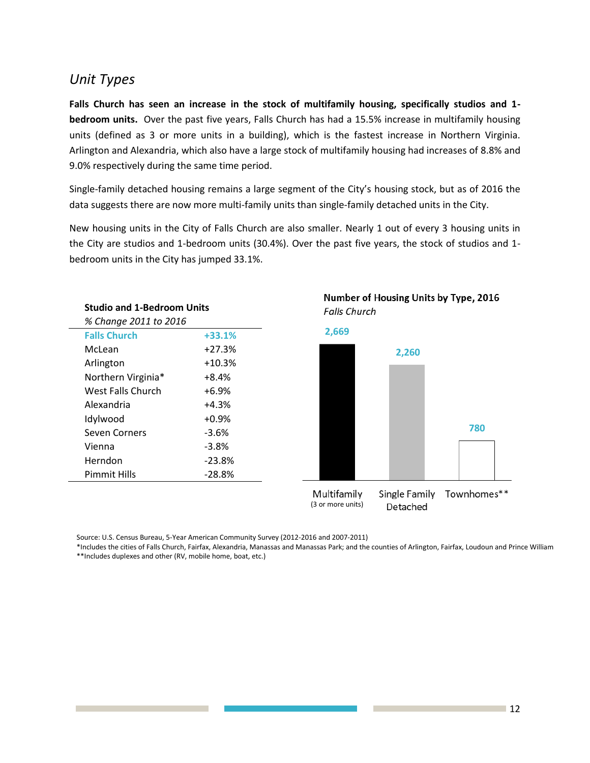### *Unit Types*

**Falls Church has seen an increase in the stock of multifamily housing, specifically studios and 1 bedroom units.** Over the past five years, Falls Church has had a 15.5% increase in multifamily housing units (defined as 3 or more units in a building), which is the fastest increase in Northern Virginia. Arlington and Alexandria, which also have a large stock of multifamily housing had increases of 8.8% and 9.0% respectively during the same time period.

Single-family detached housing remains a large segment of the City's housing stock, but as of 2016 the data suggests there are now more multi-family units than single-family detached units in the City.

New housing units in the City of Falls Church are also smaller. Nearly 1 out of every 3 housing units in the City are studios and 1-bedroom units (30.4%). Over the past five years, the stock of studios and 1 bedroom units in the City has jumped 33.1%.

| <b>Studio and 1-Bedroom Units</b> |          |  |
|-----------------------------------|----------|--|
| % Change 2011 to 2016             |          |  |
| <b>Falls Church</b>               | $+33.1%$ |  |
| McLean                            | $+27.3%$ |  |
| Arlington                         | $+10.3%$ |  |
| Northern Virginia*                | +8.4%    |  |
| West Falls Church                 | +6.9%    |  |
| Alexandria                        | +4.3%    |  |
| Idylwood                          | $+0.9%$  |  |
| <b>Seven Corners</b>              | $-3.6%$  |  |
| Vienna                            | $-3.8%$  |  |
| Herndon                           | $-23.8%$ |  |
| Pimmit Hills                      | $-28.8%$ |  |
|                                   |          |  |



Number of Housing Units by Type, 2016 **Falls Church** 

Source: U.S. Census Bureau, 5-Year American Community Survey (2012-2016 and 2007-2011)

\*Includes the cities of Falls Church, Fairfax, Alexandria, Manassas and Manassas Park; and the counties of Arlington, Fairfax, Loudoun and Prince William \*\*Includes duplexes and other (RV, mobile home, boat, etc.)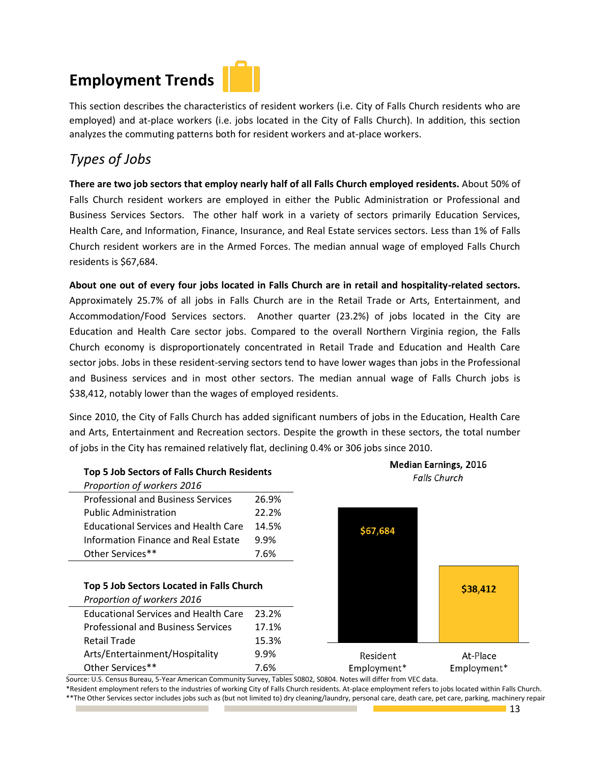# **Employment Trends**

This section describes the characteristics of resident workers (i.e. City of Falls Church residents who are employed) and at-place workers (i.e. jobs located in the City of Falls Church). In addition, this section analyzes the commuting patterns both for resident workers and at-place workers.

# *Types of Jobs*

**There are two job sectors that employ nearly half of all Falls Church employed residents.** About 50% of Falls Church resident workers are employed in either the Public Administration or Professional and Business Services Sectors. The other half work in a variety of sectors primarily Education Services, Health Care, and Information, Finance, Insurance, and Real Estate services sectors. Less than 1% of Falls Church resident workers are in the Armed Forces. The median annual wage of employed Falls Church residents is \$67,684.

**About one out of every four jobs located in Falls Church are in retail and hospitality-related sectors.** Approximately 25.7% of all jobs in Falls Church are in the Retail Trade or Arts, Entertainment, and Accommodation/Food Services sectors. Another quarter (23.2%) of jobs located in the City are Education and Health Care sector jobs. Compared to the overall Northern Virginia region, the Falls Church economy is disproportionately concentrated in Retail Trade and Education and Health Care sector jobs. Jobs in these resident-serving sectors tend to have lower wages than jobs in the Professional and Business services and in most other sectors. The median annual wage of Falls Church jobs is \$38,412, notably lower than the wages of employed residents.

Since 2010, the City of Falls Church has added significant numbers of jobs in the Education, Health Care and Arts, Entertainment and Recreation sectors. Despite the growth in these sectors, the total number of jobs in the City has remained relatively flat, declining 0.4% or 306 jobs since 2010.

#### **Top 5 Job Sectors of Falls Church Residents**

| Proportion of workers 2016                  |       |
|---------------------------------------------|-------|
| <b>Professional and Business Services</b>   | 26.9% |
| <b>Public Administration</b>                | 22.2% |
| <b>Educational Services and Health Care</b> | 14.5% |
| Information Finance and Real Estate         | 9.9%  |
| Other Services**                            | 7 6%  |

#### **Top 5 Job Sectors Located in Falls Church**

| Proportion of workers 2016                  |       |
|---------------------------------------------|-------|
| <b>Educational Services and Health Care</b> | 23.2% |
| <b>Professional and Business Services</b>   | 17.1% |
| Retail Trade                                | 15.3% |
| Arts/Entertainment/Hospitality              | 9.9%  |
| Other Services**                            | 7 6%  |



**Median Earnings, 2016** 

Source: U.S. Census Bureau, 5-Year American Community Survey, Tables S0802, S0804. Notes will differ from VEC data. \*Resident employment refers to the industries of working City of Falls Church residents. At-place employment refers to jobs located within Falls Church. \*\*The Other Services sector includes jobs such as (but not limited to) dry cleaning/laundry, personal care, death care, pet care, parking, machinery repair

13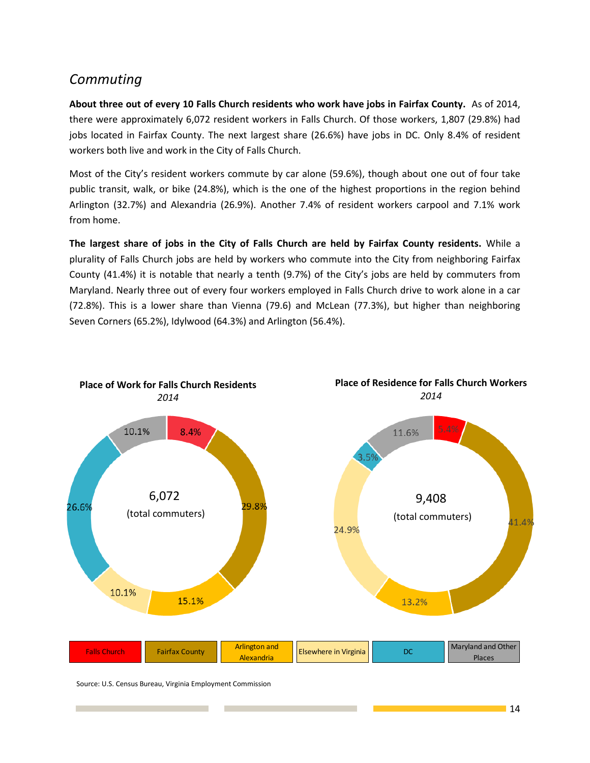## *Commuting*

**About three out of every 10 Falls Church residents who work have jobs in Fairfax County.** As of 2014, there were approximately 6,072 resident workers in Falls Church. Of those workers, 1,807 (29.8%) had jobs located in Fairfax County. The next largest share (26.6%) have jobs in DC. Only 8.4% of resident workers both live and work in the City of Falls Church.

Most of the City's resident workers commute by car alone (59.6%), though about one out of four take public transit, walk, or bike (24.8%), which is the one of the highest proportions in the region behind Arlington (32.7%) and Alexandria (26.9%). Another 7.4% of resident workers carpool and 7.1% work from home.

**The largest share of jobs in the City of Falls Church are held by Fairfax County residents.** While a plurality of Falls Church jobs are held by workers who commute into the City from neighboring Fairfax County (41.4%) it is notable that nearly a tenth (9.7%) of the City's jobs are held by commuters from Maryland. Nearly three out of every four workers employed in Falls Church drive to work alone in a car (72.8%). This is a lower share than Vienna (79.6) and McLean (77.3%), but higher than neighboring Seven Corners (65.2%), Idylwood (64.3%) and Arlington (56.4%).

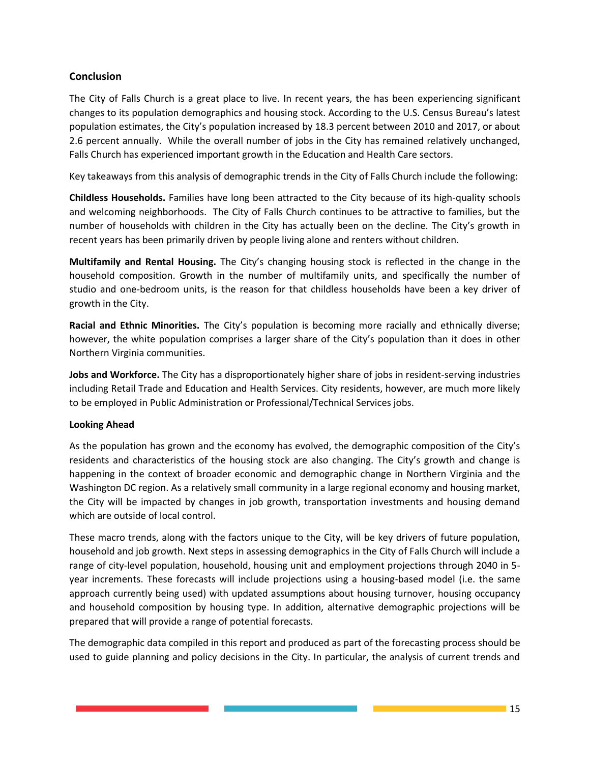#### **Conclusion**

The City of Falls Church is a great place to live. In recent years, the has been experiencing significant changes to its population demographics and housing stock. According to the U.S. Census Bureau's latest population estimates, the City's population increased by 18.3 percent between 2010 and 2017, or about 2.6 percent annually. While the overall number of jobs in the City has remained relatively unchanged, Falls Church has experienced important growth in the Education and Health Care sectors.

Key takeaways from this analysis of demographic trends in the City of Falls Church include the following:

**Childless Households.** Families have long been attracted to the City because of its high-quality schools and welcoming neighborhoods. The City of Falls Church continues to be attractive to families, but the number of households with children in the City has actually been on the decline. The City's growth in recent years has been primarily driven by people living alone and renters without children.

**Multifamily and Rental Housing.** The City's changing housing stock is reflected in the change in the household composition. Growth in the number of multifamily units, and specifically the number of studio and one-bedroom units, is the reason for that childless households have been a key driver of growth in the City.

**Racial and Ethnic Minorities.** The City's population is becoming more racially and ethnically diverse; however, the white population comprises a larger share of the City's population than it does in other Northern Virginia communities.

**Jobs and Workforce.** The City has a disproportionately higher share of jobs in resident-serving industries including Retail Trade and Education and Health Services. City residents, however, are much more likely to be employed in Public Administration or Professional/Technical Services jobs.

#### **Looking Ahead**

As the population has grown and the economy has evolved, the demographic composition of the City's residents and characteristics of the housing stock are also changing. The City's growth and change is happening in the context of broader economic and demographic change in Northern Virginia and the Washington DC region. As a relatively small community in a large regional economy and housing market, the City will be impacted by changes in job growth, transportation investments and housing demand which are outside of local control.

These macro trends, along with the factors unique to the City, will be key drivers of future population, household and job growth. Next steps in assessing demographics in the City of Falls Church will include a range of city-level population, household, housing unit and employment projections through 2040 in 5 year increments. These forecasts will include projections using a housing-based model (i.e. the same approach currently being used) with updated assumptions about housing turnover, housing occupancy and household composition by housing type. In addition, alternative demographic projections will be prepared that will provide a range of potential forecasts.

The demographic data compiled in this report and produced as part of the forecasting process should be used to guide planning and policy decisions in the City. In particular, the analysis of current trends and